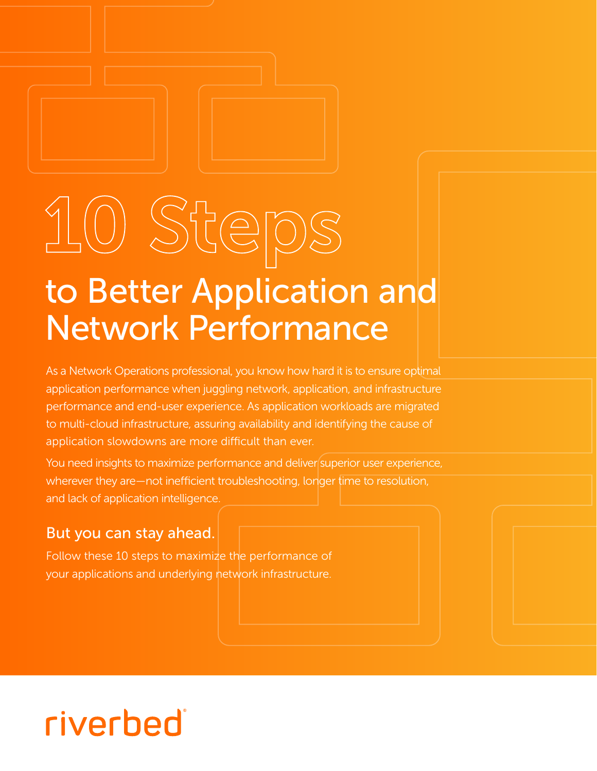# 10 Steps

## to Better Application and Network Performance

As a Network Operations professional, you know how hard it is to ensure optimal application performance when juggling network, application, and infrastructure performance and end-user experience. As application workloads are migrated to multi-cloud infrastructure, assuring availability and identifying the cause of application slowdowns are more difficult than ever.

You need insights to maximize performance and deliver superior user experience, wherever they are—not inefficient troubleshooting, longer time to resolution, and lack of application intelligence.

#### But you can stay ahead.

Follow these 10 steps to maximize the performance of your applications and underlying network infrastructure.

## riverbed®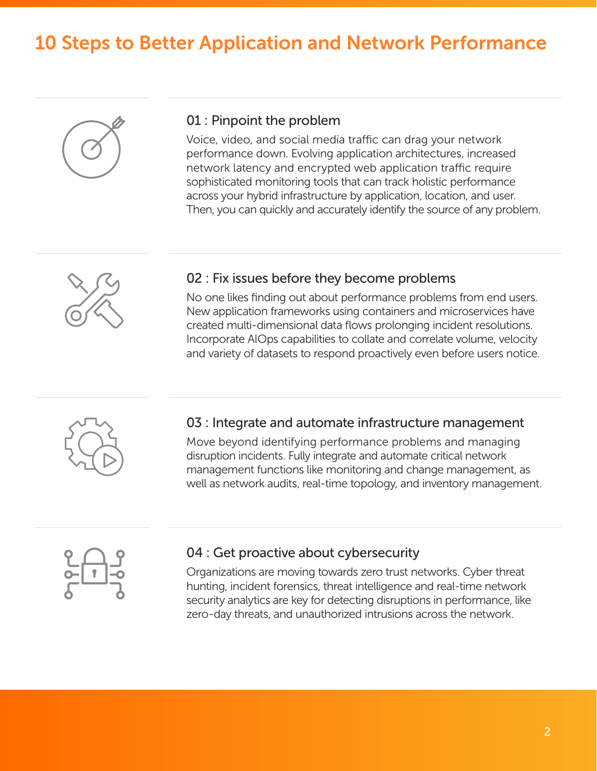### 10 Steps to Better Application and Network Performance



#### 01 : Pinpoint the problem

Voice, video, and social media traffic can drag your network performance down. Evolving application architectures, increased network latency and encrypted web application traffic require sophisticated monitoring tools that can track holistic performance across your hybrid infrastructure by application, location, and user. Then, you can quickly and accurately identify the source of any problem.



#### 02 : Fix issues before they become problems

No one likes finding out about performance problems from end users. New application frameworks using containers and microservices have created multi-dimensional data flows prolonging incident resolutions. Incorporate AIOps capabilities to collate and correlate volume, velocity and variety of datasets to respond proactively even before users notice.



#### 03 : Integrate and automate infrastructure management

Move beyond identifying performance problems and managing disruption incidents. Fully integrate and automate critical network management functions like monitoring and change management, as well as network audits, real-time topology, and inventory management.



#### 04 : Get proactive about cybersecurity

Organizations are moving towards zero trust networks. Cyber threat hunting, incident forensics, threat intelligence and real-time network security analytics are key for detecting disruptions in performance, like zero-day threats, and unauthorized intrusions across the network.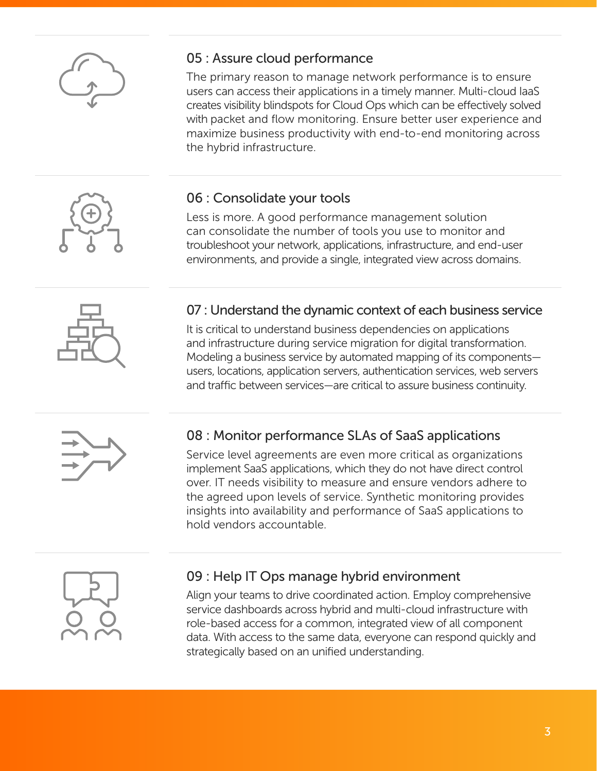

#### 05 : Assure cloud performance

The primary reason to manage network performance is to ensure users can access their applications in a timely manner. Multi-cloud IaaS creates visibility blindspots for Cloud Ops which can be effectively solved with packet and flow monitoring. Ensure better user experience and maximize business productivity with end-to-end monitoring across the hybrid infrastructure.

#### 06 : Consolidate your tools

Less is more. A good performance management solution can consolidate the number of tools you use to monitor and troubleshoot your network, applications, infrastructure, and end-user environments, and provide a single, integrated view across domains.



#### 07 : Understand the dynamic context of each business service

It is critical to understand business dependencies on applications and infrastructure during service migration for digital transformation. Modeling a business service by automated mapping of its components users, locations, application servers, authentication services, web servers and traffic between services—are critical to assure business continuity.



#### 08 : Monitor performance SLAs of SaaS applications

Service level agreements are even more critical as organizations implement SaaS applications, which they do not have direct control over. IT needs visibility to measure and ensure vendors adhere to the agreed upon levels of service. Synthetic monitoring provides insights into availability and performance of SaaS applications to hold vendors accountable.



#### 09 : Help IT Ops manage hybrid environment

Align your teams to drive coordinated action. Employ comprehensive service dashboards across hybrid and multi-cloud infrastructure with role-based access for a common, integrated view of all component data. With access to the same data, everyone can respond quickly and strategically based on an unified understanding.